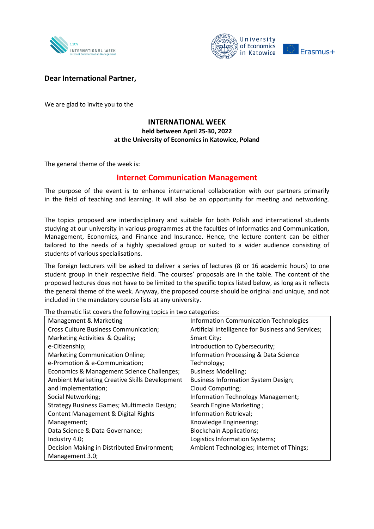



## **Dear International Partner,**

We are glad to invite you to the

## **INTERNATIONAL WEEK held between April 25-30, 2022 at the University of Economics in Katowice, Poland**

The general theme of the week is:

## **Internet Communication Management**

The purpose of the event is to enhance international collaboration with our partners primarily in the field of teaching and learning. It will also be an opportunity for meeting and networking.

The topics proposed are interdisciplinary and suitable for both Polish and international students studying at our university in various programmes at the faculties of Informatics and Communication, Management, Economics, and Finance and Insurance. Hence, the lecture content can be either tailored to the needs of a highly specialized group or suited to a wider audience consisting of students of various specialisations.

The foreign lecturers will be asked to deliver a series of lectures (8 or 16 academic hours) to one student group in their respective field. The courses' proposals are in the table. The content of the proposed lectures does not have to be limited to the specific topics listed below, as long as it reflects the general theme of the week. Anyway, the proposed course should be original and unique, and not included in the mandatory course lists at any university.

| Management & Marketing                               | <b>Information Communication Technologies</b>      |
|------------------------------------------------------|----------------------------------------------------|
| <b>Cross Culture Business Communication;</b>         | Artificial Intelligence for Business and Services; |
| Marketing Activities & Quality;                      | Smart City;                                        |
| e-Citizenship;                                       | Introduction to Cybersecurity;                     |
| <b>Marketing Communication Online;</b>               | Information Processing & Data Science              |
| e-Promotion & e-Communication;                       | Technology;                                        |
| Economics & Management Science Challenges;           | <b>Business Modelling;</b>                         |
| <b>Ambient Marketing Creative Skills Development</b> | <b>Business Information System Design;</b>         |
| and Implementation;                                  | Cloud Computing;                                   |
| Social Networking;                                   | Information Technology Management;                 |
| Strategy Business Games; Multimedia Design;          | Search Engine Marketing;                           |
| <b>Content Management &amp; Digital Rights</b>       | Information Retrieval;                             |
| Management;                                          | Knowledge Engineering;                             |
| Data Science & Data Governance;                      | <b>Blockchain Applications;</b>                    |
| Industry 4.0;                                        | Logistics Information Systems;                     |
| Decision Making in Distributed Environment;          | Ambient Technologies; Internet of Things;          |
| Management 3.0;                                      |                                                    |

The thematic list covers the following topics in two categories: